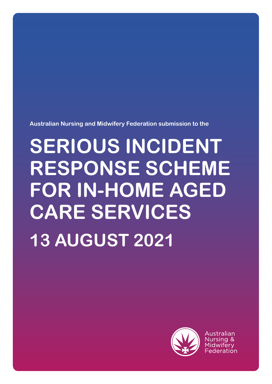

Australian

# **SERIOUS INCIDENT RESPONSE SCHEME FOR IN-HOME AGED CARE SERVICES 13 AUGUST 2021**

**Australian Nursing and Midwifery Federation submission to the**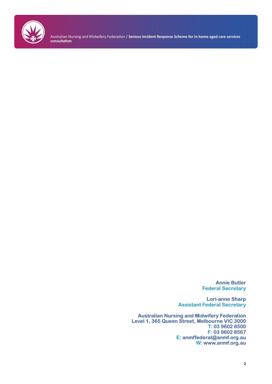

> **Annie Butler Federal Secretary**

**Lori-anne Sharp Assistant Federal Secretary**

**Australian Nursing and Midwifery Federation Level 1, 365 Queen Street, Melbourne VIC 3000 T: 03 9602 8500 F: 03 9602 8567 E: anmffederal@anmf.org.au W: www.anmf.org.au**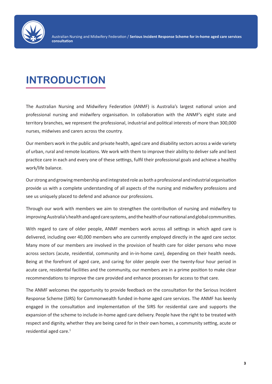

# **INTRODUCTION**

The Australian Nursing and Midwifery Federation (ANMF) is Australia's largest national union and professional nursing and midwifery organisation. In collaboration with the ANMF's eight state and territory branches, we represent the professional, industrial and political interests of more than 300,000 nurses, midwives and carers across the country.

Our members work in the public and private health, aged care and disability sectors across a wide variety of urban, rural and remote locations. We work with them to improve their ability to deliver safe and best practice care in each and every one of these settings, fulfil their professional goals and achieve a healthy work/life balance.

Our strong and growing membership and integrated role as both a professional and industrial organisation provide us with a complete understanding of all aspects of the nursing and midwifery professions and see us uniquely placed to defend and advance our professions.

Through our work with members we aim to strengthen the contribution of nursing and midwifery to improving Australia's health and aged care systems, and the health of our national and global communities.

With regard to care of older people, ANMF members work across all settings in which aged care is delivered, including over 40,000 members who are currently employed directly in the aged care sector. Many more of our members are involved in the provision of health care for older persons who move across sectors (acute, residential, community and in-in-home care), depending on their health needs. Being at the forefront of aged care, and caring for older people over the twenty-four hour period in acute care, residential facilities and the community, our members are in a prime position to make clear recommendations to improve the care provided and enhance processes for access to that care.

The ANMF welcomes the opportunity to provide feedback on the consultation for the Serious Incident Response Scheme (SIRS) for Commonwealth funded in-home aged care services. The ANMF has keenly engaged in the consultation and implementation of the SIRS for residential care and supports the expansion of the scheme to include in-home aged care delivery. People have the right to be treated with respect and dignity, whether they are being cared for in their own homes, a community setting, acute or residential aged care.<sup>1</sup>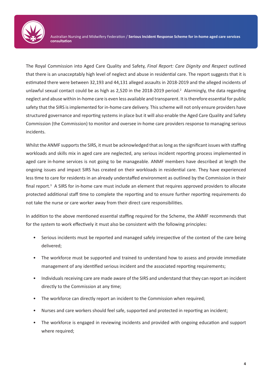

The Royal Commission into Aged Care Quality and Safety, *Final Report: Care Dignity and Respect* outlined that there is an unacceptably high level of neglect and abuse in residential care. The report suggests that it is estimated there were between 32,193 and 44,131 alleged assaults in 2018-2019 and the alleged incidents of unlawful sexual contact could be as high as 2,520 in the 2018-2019 period.<sup>2</sup> Alarmingly, the data regarding neglect and abuse within in-home care is even less available and transparent. It is therefore essential for public safety that the SIRS is implemented for in-home care delivery. This scheme will not only ensure providers have structured governance and reporting systems in place but it will also enable the Aged Care Quality and Safety Commission (the Commission) to monitor and oversee in-home care providers response to managing serious incidents.

Whilst the ANMF supports the SIRS, it must be acknowledged that as long as the significant issues with staffing workloads and skills mix in aged care are neglected, any serious incident reporting process implemented in aged care in-home services is not going to be manageable. ANMF members have described at length the ongoing issues and impact SIRS has created on their workloads in residential care. They have experienced less time to care for residents in an already understaffed environment as outlined by the Commission in their final report.<sup>3</sup> A SIRS for in-home care must include an element that requires approved providers to allocate protected additional staff time to complete the reporting and to ensure further reporting requirements do not take the nurse or care worker away from their direct care responsibilities.

In addition to the above mentioned essential staffing required for the Scheme, the ANMF recommends that for the system to work effectively it must also be consistent with the following principles:

- Serious incidents must be reported and managed safely irrespective of the context of the care being delivered;
- The workforce must be supported and trained to understand how to assess and provide immediate management of any identified serious incident and the associated reporting requirements;
- Individuals receiving care are made aware of the SIRS and understand that they can report an incident directly to the Commission at any time;
- The workforce can directly report an incident to the Commission when required;
- Nurses and care workers should feel safe, supported and protected in reporting an incident;
- The workforce is engaged in reviewing incidents and provided with ongoing education and support where required;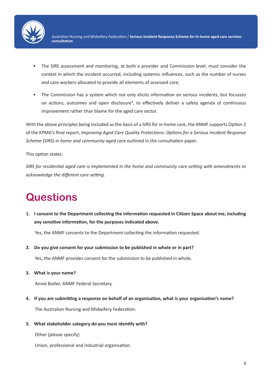

- The SIRS assessment and monitoring, at both a provider and Commission level, must consider the context in which the incident occurred, including systemic influences, such as the number of nurses and care workers allocated to provide all elements of assessed care;
- The Commission has a system which not only elicits information on serious incidents, but focusses on actions, outcomes and open disclosure<sup>4</sup>, to effectively deliver a safety agenda of continuous improvement rather than blame for the aged care sector.

With the above principles being included as the basis of a SIRS for in-home care, the ANMF supports Option 2 of the KPMG's final report, *Improving Aged Care Quality Protections: Options for a Serious Incident Response Scheme (SIRS) in home and community aged care* outlined in the consultation paper.

#### This option states:

*SIRS for residential aged care is implemented in the home and community care setting with amendments to acknowledge the different care setting.* 

# **Questions**

**1. I consent to the Department collecting the information requested in Citizen Space about me, including any sensitive information, for the purposes indicated above.**

Yes, the ANMF consents to the Department collecting the information requested.

**2. Do you give consent for your submission to be published in whole or in part?**

Yes, the ANMF provides consent for the submission to be published in whole.

**3. What is your name?**

Annie Butler, ANMF Federal Secretary.

**4. If you are submitting a response on behalf of an organisation, what is your organisation's name?**

The Australian Nursing and Midwifery Federation.

**5. What stakeholder category do you most identify with?**

Other (please specify)

Union, professional and industrial organisation.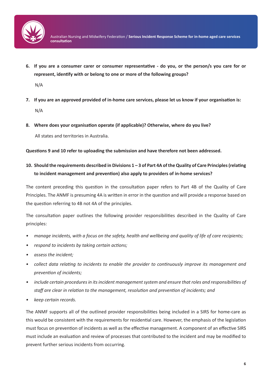

**6. If you are a consumer carer or consumer representative - do you, or the person/s you care for or represent, identify with or belong to one or more of the following groups?**

N/A

- **7. If you are an approved provided of in-home care services, please let us know if your organisation is:** N/A
- **8. Where does your organisation operate (if applicable)? Otherwise, where do you live?**

All states and territories in Australia.

**Questions 9 and 10 refer to uploading the submission and have therefore not been addressed.** 

## **10. Should the requirements described in Divisions 1 – 3 of Part 4A of the Quality of Care Principles (relating to incident management and prevention) also apply to providers of in-home services?**

The content preceding this question in the consultation paper refers to Part 4B of the Quality of Care Principles. The ANMF is presuming 4A is written in error in the question and will provide a response based on the question referring to 4B not 4A of the principles.

The consultation paper outlines the following provider responsibilities described in the Quality of Care principles:

- *• manage incidents, with a focus on the safety, health and wellbeing and quality of life of care recipients;*
- *• respond to incidents by taking certain actions;*
- *• assess the incident;*
- *collect data relating to incidents to enable the provider to continuously improve its management and prevention of incidents;*
- *• include certain procedures in its incident management system and ensure that roles and responsibilities of staff are clear in relation to the management, resolution and prevention of incidents; and*
- *• keep certain records.*

The ANMF supports all of the outlined provider responsibilities being included in a SIRS for home-care as this would be consistent with the requirements for residential care. However, the emphasis of the legislation must focus on prevention of incidents as well as the effective management. A component of an effective SIRS must include an evaluation and review of processes that contributed to the incident and may be modified to prevent further serious incidents from occurring.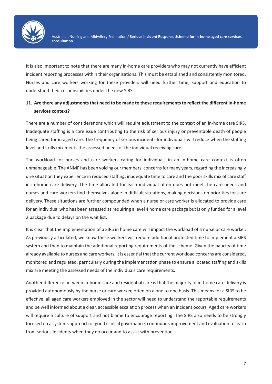

It is also important to note that there are many in-home care providers who may not currently have efficient incident reporting processes within their organisations. This must be established and consistently monitored. Nurses and care workers working for these providers will need further time, support and education to understand their responsibilities under the new SIRS.

## **11. Are there any adjustments that need to be made to these requirements to reflect the different in-home services context?**

There are a number of considerations which will require adjustment to the context of an in-home care SIRS. Inadequate staffing is a core issue contributing to the risk of serious injury or preventable death of people being cared for in aged care. The frequency of serious incidents for individuals will reduce when the staffing level and skills mix meets the assessed needs of the individual receiving care.

The workload for nurses and care workers caring for individuals in an in-home care context is often unmanageable. The ANMF has been voicing our members' concerns for many years, regarding the increasingly dire situation they experience in reduced staffing, inadequate time to care and the poor skills mix of care staff in in-home care delivery. The time allocated for each individual often does not meet the care needs and nurses and care workers find themselves alone in difficult situations, making decisions on priorities for care delivery. These situations are further compounded when a nurse or care worker is allocated to provide care for an individual who has been assessed as requiring a level 4 home care package but is only funded for a level 2 package due to delays on the wait list.

It is clear that the implementation of a SIRS in home care will impact the workload of a nurse or care worker. As previously articulated, we know these workers will require additional protected time to implement a SIRS system and then to maintain the additional reporting requirements of the scheme. Given the paucity of time already available to nurses and care workers, it is essential that the current workload concerns are considered, monitored and regulated, particularly during the implementation phase to ensure allocated staffing and skills mix are meeting the assessed needs of the individuals care requirements.

Another difference between in-home care and residential care is that the majority of in-home care delivery is provided autonomously by the nurse or care worker, often on a one to one basis. This means for a SIRS to be effective, all aged care workers employed in the sector will need to understand the reportable requirements and be well informed about a clear, accessible escalation process when an incident occurs. Aged care workers will require a culture of support and not blame to encourage reporting. The SIRS also needs to be strongly focused on a systems approach of good clinical governance, continuous improvement and evaluation to learn from serious incidents when they do occur and to assist with prevention.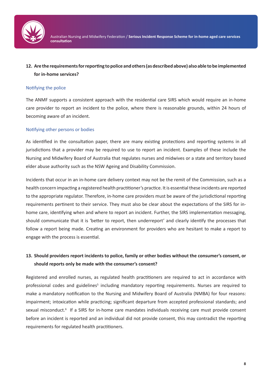

#### **12. Are the requirements for reporting to police and others (as described above) also able to be implemented for in-home services?**

#### Notifying the police

The ANMF supports a consistent approach with the residential care SIRS which would require an in-home care provider to report an incident to the police, where there is reasonable grounds, within 24 hours of becoming aware of an incident.

#### Notifying other persons or bodies

As identified in the consultation paper, there are many existing protections and reporting systems in all jurisdictions that a provider may be required to use to report an incident. Examples of these include the Nursing and Midwifery Board of Australia that regulates nurses and midwives or a state and territory based elder abuse authority such as the NSW Ageing and Disability Commission.

Incidents that occur in an in-home care delivery context may not be the remit of the Commission, such as a health concern impacting a registered health practitioner's practice. It is essential these incidents are reported to the appropriate regulator. Therefore, in-home care providers must be aware of the jurisdictional reporting requirements pertinent to their service. They must also be clear about the expectations of the SIRS for inhome care, identifying when and where to report an incident. Further, the SIRS implementation messaging, should communicate that it is 'better to report, then underreport' and clearly identify the processes that follow a report being made. Creating an environment for providers who are hesitant to make a report to engage with the process is essential.

### **13. Should providers report incidents to police, family or other bodies without the consumer's consent, or should reports only be made with the consumer's consent?**

Registered and enrolled nurses, as regulated health practitioners are required to act in accordance with professional codes and guidelines<sup>5</sup> including mandatory reporting requirements. Nurses are required to make a mandatory notification to the Nursing and Midwifery Board of Australia (NMBA) for four reasons: impairment; intoxication while practicing; significant departure from accepted professional standards; and sexual misconduct.<sup>6</sup> If a SIRS for in-home care mandates individuals receiving care must provide consent before an incident is reported and an individual did not provide consent, this may contradict the reporting requirements for regulated health practitioners.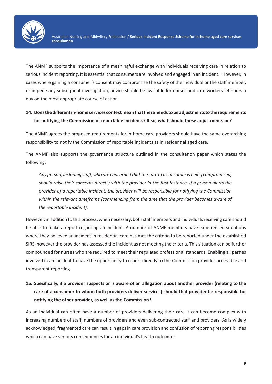

The ANMF supports the importance of a meaningful exchange with individuals receiving care in relation to serious incident reporting. It is essential that consumers are involved and engaged in an incident. However, in cases where gaining a consumer's consent may compromise the safety of the individual or the staff member, or impede any subsequent investigation, advice should be available for nurses and care workers 24 hours a day on the most appropriate course of action.

### **14. Does the different in-home services context mean that there needs to be adjustments to the requirements for notifying the Commission of reportable incidents? If so, what should these adjustments be?**

The ANMF agrees the proposed requirements for in-home care providers should have the same overarching responsibility to notify the Commission of reportable incidents as in residential aged care.

The ANMF also supports the governance structure outlined in the consultation paper which states the following:

*Any person, including staff, who are concerned that the care of a consumer is being compromised, should raise their concerns directly with the provider in the first instance. If a person alerts the provider of a reportable incident, the provider will be responsible for notifying the Commission within the relevant timeframe (commencing from the time that the provider becomes aware of the reportable incident).*

However, in addition to this process, when necessary, both staff members and individuals receiving care should be able to make a report regarding an incident. A number of ANMF members have experienced situations where they believed an incident in residential care has met the criteria to be reported under the established SIRS, however the provider has assessed the incident as not meeting the criteria. This situation can be further compounded for nurses who are required to meet their regulated professional standards. Enabling all parties involved in an incident to have the opportunity to report directly to the Commission provides accessible and transparent reporting.

# **15. Specifically, if a provider suspects or is aware of an allegation about another provider (relating to the care of a consumer to whom both providers deliver services) should that provider be responsible for notifying the other provider, as well as the Commission?**

As an individual can often have a number of providers delivering their care it can become complex with increasing numbers of staff, numbers of providers and even sub-contracted staff and providers. As is widely acknowledged, fragmented care can result in gaps in care provision and confusion of reporting responsibilities which can have serious consequences for an individual's health outcomes.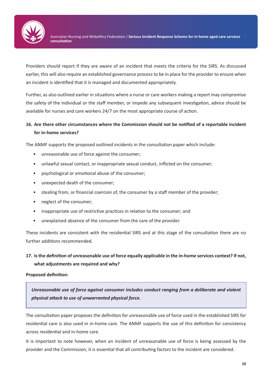

Providers should report if they are aware of an incident that meets the criteria for the SIRS. As discussed earlier, this will also require an established governance process to be in place for the provider to ensure when an incident is identified that it is managed and documented appropriately.

Further, as also outlined earlier in situations where a nurse or care workers making a report may compromise the safety of the individual or the staff member, or impede any subsequent investigation, advice should be available for nurses and care workers 24/7 on the most appropriate course of action.

## **16. Are there other circumstances where the Commission should not be notified of a reportable incident for in-home services?**

The ANMF supports the proposed outlined incidents in the consultation paper which include:

- unreasonable use of force against the consumer;
- unlawful sexual contact, or inappropriate sexual conduct, inflicted on the consumer;
- psychological or emotional abuse of the consumer;
- unexpected death of the consumer;
- stealing from, or financial coercion of, the consumer by a staff member of the provider;
- neglect of the consumer;
- inappropriate use of restrictive practices in relation to the consumer; and
- unexplained absence of the consumer from the care of the provider.

These incidents are consistent with the residential SIRS and at this stage of the consultation there are no further additions recommended.

### **17. Is the definition of unreasonable use of force equally applicable in the in-home services context? If not, what adjustments are required and why?**

#### **Proposed definition:**

*Unreasonable use of force against consumer includes conduct ranging from a deliberate and violent physical attack to use of unwarranted physical force.*

The consultation paper proposes the definition for unreasonable use of force used in the established SIRS for residential care is also used in in-home care. The ANMF supports the use of this definition for consistency across residential and in-home care.

It is important to note however, when an incident of unreasonable use of force is being assessed by the provider and the Commission, it is essential that all contributing factors to the incident are considered.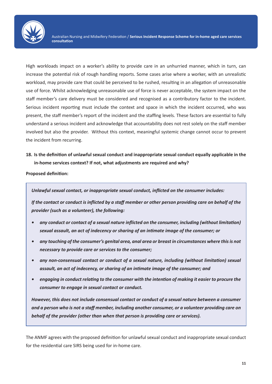

High workloads impact on a worker's ability to provide care in an unhurried manner, which in turn, can increase the potential risk of rough handling reports. Some cases arise where a worker, with an unrealistic workload, may provide care that could be perceived to be rushed, resulting in an allegation of unreasonable use of force. Whilst acknowledging unreasonable use of force is never acceptable, the system impact on the staff member's care delivery must be considered and recognised as a contributory factor to the incident. Serious incident reporting must include the context and space in which the incident occurred, who was present, the staff member's report of the incident and the staffing levels. These factors are essential to fully understand a serious incident and acknowledge that accountability does not rest solely on the staff member involved but also the provider. Without this context, meaningful systemic change cannot occur to prevent the incident from recurring.

**18. Is the definition of unlawful sexual conduct and inappropriate sexual conduct equally applicable in the in-home services context? If not, what adjustments are required and why?**

**Proposed definition:** 

*Unlawful sexual contact, or inappropriate sexual conduct, inflicted on the consumer includes:*

*If the contact or conduct is inflicted by a staff member or other person providing care on behalf of the provider (such as a volunteer), the following:*

- *• any conduct or contact of a sexual nature inflicted on the consumer, including (without limitation) sexual assault, an act of indecency or sharing of an intimate image of the consumer; or*
- *• any touching of the consumer's genital area, anal area or breast in circumstances where this is not necessary to provide care or services to the consumer;*
- *• any non-consensual contact or conduct of a sexual nature, including (without limitation) sexual assault, an act of indecency, or sharing of an intimate image of the consumer; and*
- *• engaging in conduct relating to the consumer with the intention of making it easier to procure the consumer to engage in sexual contact or conduct.*

*However, this does not include consensual contact or conduct of a sexual nature between a consumer and a person who is not a staff member, including another consumer, or a volunteer providing care on behalf of the provider (other than when that person is providing care or services).*

The ANMF agrees with the proposed definition for unlawful sexual conduct and inappropriate sexual conduct for the residential care SIRS being used for in-home care.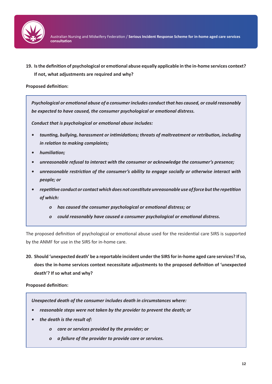

**19. Is the definition of psychological or emotional abuse equally applicable in the in-home services context? If not, what adjustments are required and why?**

#### **Proposed definition:**

*Psychological or emotional abuse of a consumer includes conduct that has caused, or could reasonably be expected to have caused, the consumer psychological or emotional distress.*

*Conduct that is psychological or emotional abuse includes:*

- *• taunting, bullying, harassment or intimidations; threats of maltreatment or retribution, including in relation to making complaints;*
- *• humiliation;*
- *• unreasonable refusal to interact with the consumer or acknowledge the consumer's presence;*
- *• unreasonable restriction of the consumer's ability to engage socially or otherwise interact with people; or*
- *• repetitive conduct or contact which does not constitute unreasonable use of force but the repetition of which:*
	- *o has caused the consumer psychological or emotional distress; or*
	- *o could reasonably have caused a consumer psychological or emotional distress.*

The proposed definition of psychological or emotional abuse used for the residential care SIRS is supported by the ANMF for use in the SIRS for in-home care.

**20. Should 'unexpected death' be a reportable incident under the SIRS for in-home aged care services? If so, does the in-home services context necessitate adjustments to the proposed definition of 'unexpected death'? If so what and why?**

#### **Proposed definition:**

*Unexpected death of the consumer includes death in circumstances where:*

- *• reasonable steps were not taken by the provider to prevent the death; or*
- *• the death is the result of:*
	- *o care or services provided by the provider; or*
	- *o a failure of the provider to provide care or services.*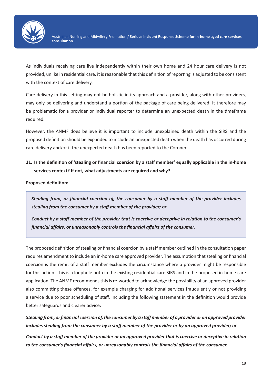

As individuals receiving care live independently within their own home and 24 hour care delivery is not provided, unlike in residential care, it is reasonable that this definition of reporting is adjusted to be consistent with the context of care delivery.

Care delivery in this setting may not be holistic in its approach and a provider, along with other providers, may only be delivering and understand a portion of the package of care being delivered. It therefore may be problematic for a provider or individual reporter to determine an unexpected death in the timeframe required.

However, the ANMF does believe it is important to include unexplained death within the SIRS and the proposed definition should be expanded to include an unexpected death when the death has occurred during care delivery and/or if the unexpected death has been reported to the Coroner.

**21. Is the definition of 'stealing or financial coercion by a staff member' equally applicable in the in-home services context? If not, what adjustments are required and why?**

**Proposed definition:**

*Stealing from, or financial coercion of, the consumer by a staff member of the provider includes stealing from the consumer by a staff member of the provider; or*

*Conduct by a staff member of the provider that is coercive or deceptive in relation to the consumer's financial affairs, or unreasonably controls the financial affairs of the consumer.*

The proposed definition of stealing or financial coercion by a staff member outlined in the consultation paper requires amendment to include an in-home care approved provider. The assumption that stealing or financial coercion is the remit of a staff member excludes the circumstance where a provider might be responsible for this action. This is a loophole both in the existing residential care SIRS and in the proposed in-home care application. The ANMF recommends this is re-worded to acknowledge the possibility of an approved provider also committing these offences, for example charging for additional services fraudulently or not providing a service due to poor scheduling of staff. Including the following statement in the definition would provide better safeguards and clearer advice:

*Stealing from, or financial coercion of, the consumer by a staff member of a provider or an approved provider includes stealing from the consumer by a staff member of the provider or by an approved provider; or*

*Conduct by a staff member of the provider or an approved provider that is coercive or deceptive in relation to the consumer's financial affairs, or unreasonably controls the financial affairs of the consumer.*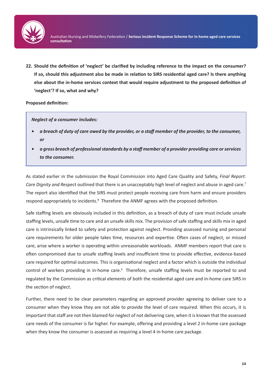

**22. Should the definition of 'neglect' be clarified by including reference to the impact on the consumer? If so, should this adjustment also be made in relation to SIRS residential aged care? Is there anything else about the in-home services context that would require adjustment to the proposed definition of 'neglect'? If so, what and why?**

**Proposed definition:**

*Neglect of a consumer includes:*

- *• a breach of duty of care owed by the provider, or a staff member of the provider, to the consumer, or*
- *• a gross breach of professional standards by a staff member of a provider providing care or services to the consumer.*

As stated earlier in the submission the Royal Commission into Aged Care Quality and Safety, *Final Report: Care Dignity and Respect* outlined that there is an unacceptably high level of neglect and abuse in aged care.7 The report also identified that the SIRS must protect people receiving care from harm and ensure providers respond appropriately to incidents.<sup>8</sup> Therefore the ANMF agrees with the proposed definition.

Safe staffing levels are obviously included in this definition, as a breach of duty of care must include unsafe staffing levels, unsafe time to care and an unsafe skills mix. The provision of safe staffing and skills mix in aged care is intrinsically linked to safety and protection against neglect. Providing assessed nursing and personal care requirements for older people takes time, resources and expertise. Often cases of neglect, or missed care, arise where a worker is operating within unreasonable workloads. ANMF members report that care is often compromised due to unsafe staffing levels and insufficient time to provide effective, evidence-based care required for optimal outcomes. This is organisational neglect and a factor which is outside the individual control of workers providing in in-home care.<sup>9</sup> Therefore, unsafe staffing levels must be reported to and regulated by the Commission as critical elements of both the residential aged care and in-home care SIRS in the section of neglect.

Further, there need to be clear parameters regarding an approved provider agreeing to deliver care to a consumer when they know they are not able to provide the level of care required. When this occurs, it is important that staff are not then blamed for neglect of not delivering care, when it is known that the assessed care needs of the consumer is far higher. For example, offering and providing a level 2 in-home care package when they know the consumer is assessed as requiring a level 4 in-home care package.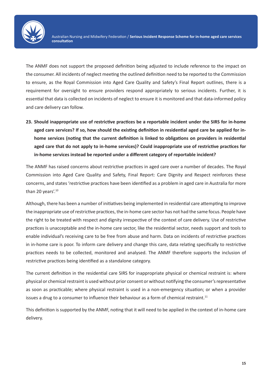

The ANMF does not support the proposed definition being adjusted to include reference to the impact on the consumer. All incidents of neglect meeting the outlined definition need to be reported to the Commission to ensure, as the Royal Commission into Aged Care Quality and Safety's Final Report outlines, there is a requirement for oversight to ensure providers respond appropriately to serious incidents. Further, it is essential that data is collected on incidents of neglect to ensure it is monitored and that data-informed policy and care delivery can follow.

**23. Should inappropriate use of restrictive practices be a reportable incident under the SIRS for in-home aged care services? If so, how should the existing definition in residential aged care be applied for inhome services (noting that the current definition is linked to obligations on providers in residential aged care that do not apply to in-home services)? Could inappropriate use of restrictive practices for in-home services instead be reported under a different category of reportable incident?**

The ANMF has raised concerns about restrictive practices in aged care over a number of decades. The Royal Commission into Aged Care Quality and Safety, Final Report: Care Dignity and Respect reinforces these concerns, and states 'restrictive practices have been identified as a problem in aged care in Australia for more than 20 years'.<sup>10</sup>

Although, there has been a number of initiatives being implemented in residential care attempting to improve the inappropriate use of restrictive practices, the in-home care sector has not had the same focus. People have the right to be treated with respect and dignity irrespective of the context of care delivery. Use of restrictive practices is unacceptable and the in-home care sector, like the residential sector, needs support and tools to enable individual's receiving care to be free from abuse and harm. Data on incidents of restrictive practices in in-home care is poor. To inform care delivery and change this care, data relating specifically to restrictive practices needs to be collected, monitored and analysed. The ANMF therefore supports the inclusion of restrictive practices being identified as a standalone category.

The current definition in the residential care SIRS for inappropriate physical or chemical restraint is: where physical or chemical restraint is used without prior consent or without notifying the consumer's representative as soon as practicable; where physical restraint is used in a non-emergency situation; or when a provider issues a drug to a consumer to influence their behaviour as a form of chemical restraint.<sup>11</sup>

This definition is supported by the ANMF, noting that it will need to be applied in the context of in-home care delivery.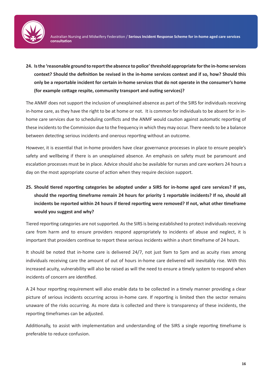

**24. Is the 'reasonable ground to report the absence to police' threshold appropriate for the in-home services context? Should the definition be revised in the in-home services context and if so, how? Should this only be a reportable incident for certain in-home services that do not operate in the consumer's home (for example cottage respite, community transport and outing services)?**

The ANMF does not support the inclusion of unexplained absence as part of the SIRS for individuals receiving in-home care, as they have the right to be at home or not. It is common for individuals to be absent for in inhome care services due to scheduling conflicts and the ANMF would caution against automatic reporting of these incidents to the Commission due to the frequency in which they may occur. There needs to be a balance between detecting serious incidents and onerous reporting without an outcome.

However, it is essential that in-home providers have clear governance processes in place to ensure people's safety and wellbeing if there is an unexplained absence. An emphasis on safety must be paramount and escalation processes must be in place. Advice should also be available for nurses and care workers 24 hours a day on the most appropriate course of action when they require decision support.

**25. Should tiered reporting categories be adopted under a SIRS for in-home aged care services? If yes, should the reporting timeframe remain 24 hours for priority 1 reportable incidents? If no, should all incidents be reported within 24 hours if tiered reporting were removed? If not, what other timeframe would you suggest and why?**

Tiered reporting categories are not supported. As the SIRS is being established to protect individuals receiving care from harm and to ensure providers respond appropriately to incidents of abuse and neglect, it is important that providers continue to report these serious incidents within a short timeframe of 24 hours.

It should be noted that in-home care is delivered 24/7, not just 9am to 5pm and as acuity rises among individuals receiving care the amount of out of hours in-home care delivered will inevitably rise. With this increased acuity, vulnerability will also be raised as will the need to ensure a timely system to respond when incidents of concern are identified.

A 24 hour reporting requirement will also enable data to be collected in a timely manner providing a clear picture of serious incidents occurring across in-home care. If reporting is limited then the sector remains unaware of the risks occurring. As more data is collected and there is transparency of these incidents, the reporting timeframes can be adjusted.

Additionally, to assist with implementation and understanding of the SIRS a single reporting timeframe is preferable to reduce confusion.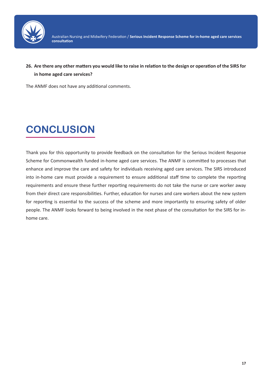

**26. Are there any other matters you would like to raise in relation to the design or operation of the SIRS for in home aged care services?**

The ANMF does not have any additional comments.

# **CONCLUSION**

Thank you for this opportunity to provide feedback on the consultation for the Serious Incident Response Scheme for Commonwealth funded in-home aged care services. The ANMF is committed to processes that enhance and improve the care and safety for individuals receiving aged care services. The SIRS introduced into in-home care must provide a requirement to ensure additional staff time to complete the reporting requirements and ensure these further reporting requirements do not take the nurse or care worker away from their direct care responsibilities. Further, education for nurses and care workers about the new system for reporting is essential to the success of the scheme and more importantly to ensuring safety of older people. The ANMF looks forward to being involved in the next phase of the consultation for the SIRS for inhome care.